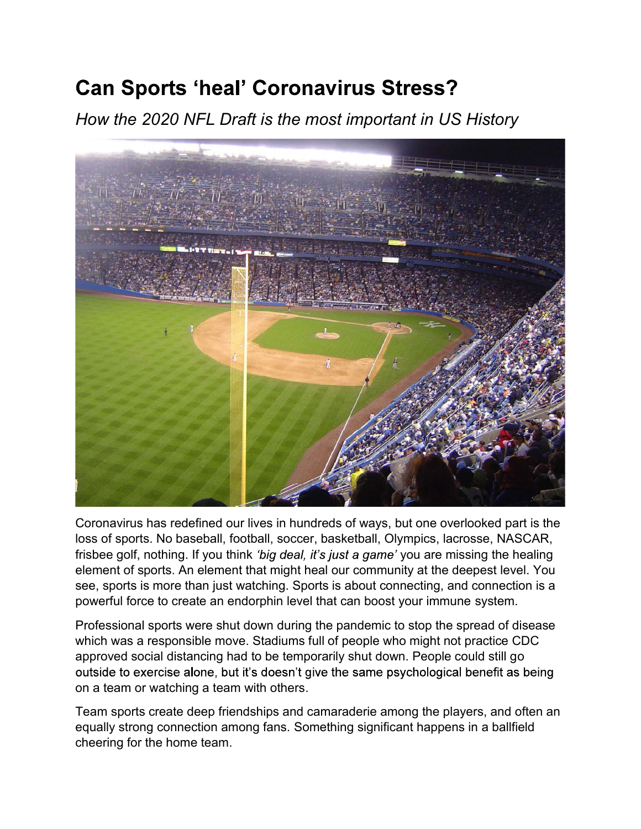## **Can Sports 'heal' Coronavirus Stress?**

How the 2020 NFL Draft is the most important in US History



Coronavirus has redefined our lives in hundreds of ways, but one overlooked part is the loss of sports. No baseball, football, soccer, basketball, Olympics, lacrosse, NASCAR, frisbee golf, nothing. If you think *'big deal, it's just a game'* you are missing the healing element of sports. An element that might heal our community at the deepest level. You see, sports is more than just watching. Sports is about connecting, and connection is a powerful force to create an endorphin level that can boost your immune system.

Professional sports were shut down during the pandemic to stop the spread of disease which was a responsible move. Stadiums full of people who might not practice CDC approved social distancing had to be temporarily shut down. People could still go outside to exercise alone, but it's doesn't give the same psychological benefit as being on a team or watching a team with others.

Team sports create deep friendships and camaraderie among the players, and often an equally strong connection among fans. Something significant happens in a ballfield cheering for the home team.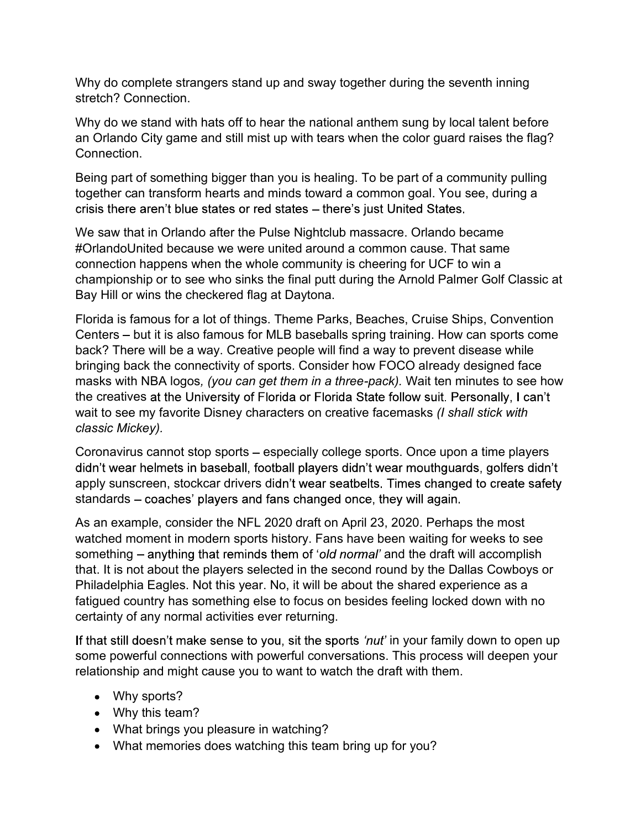Why do complete strangers stand up and sway together during the seventh inning stretch? Connection.

Why do we stand with hats off to hear the national anthem sung by local talent before an Orlando City game and still mist up with tears when the color guard raises the flag? Connection.

Being part of something bigger than you is healing. To be part of a community pulling together can transform hearts and minds toward a common goal. You see, during a crisis there aren't blue states or red states - there's just United States.

We saw that in Orlando after the Pulse Nightclub massacre. Orlando became #OrlandoUnited because we were united around a common cause. That same connection happens when the whole community is cheering for UCF to win a championship or to see who sinks the final putt during the Arnold Palmer Golf Classic at Bay Hill or wins the checkered flag at Daytona.

Florida is famous for a lot of things. Theme Parks, Beaches, Cruise Ships, Convention Centers – but it is also famous for MLB baseballs spring training. How can sports come back? There will be a way. Creative people will find a way to prevent disease while bringing back the connectivity of sports. Consider how FOCO already designed face masks with NBA logos, (you can get them in a three-pack). Wait ten minutes to see how the creatives at the University of Florida or Florida State follow suit. Personally, I can't wait to see my favorite Disney characters on creative facemasks (I shall stick with classic Mickey).<br>Coronavirus cannot stop sports – especially college sports. Once upon a time players

didn't wear helmets in baseball, football players didn't wear mouthquards, golfers didn't apply sunscreen, stockcar drivers didn't wear seatbelts. Times changed to create safety standards – coaches' players and fans changed once, they will again.

As an example, consider the NFL 2020 draft on April 23, 2020. Perhaps the most watched moment in modern sports history. Fans have been waiting for weeks to see something – anything that reminds them of 'old normal' and the draft will accomplish that. It is not about the players selected in the second round by the Dallas Cowboys or Philadelphia Eagles. Not this year. No, it will be about the shared experience as a fatigued country has something else to focus on besides feeling locked down with no certainty of any normal activities ever returning.

If that still doesn't make sense to you, sit the sports 'nut' in your family down to open up some powerful connections with powerful conversations. This process will deepen your relationship and might cause you to want to watch the draft with them.

- Why sports?
- Why this team?
- What brings you pleasure in watching?
- What memories does watching this team bring up for you?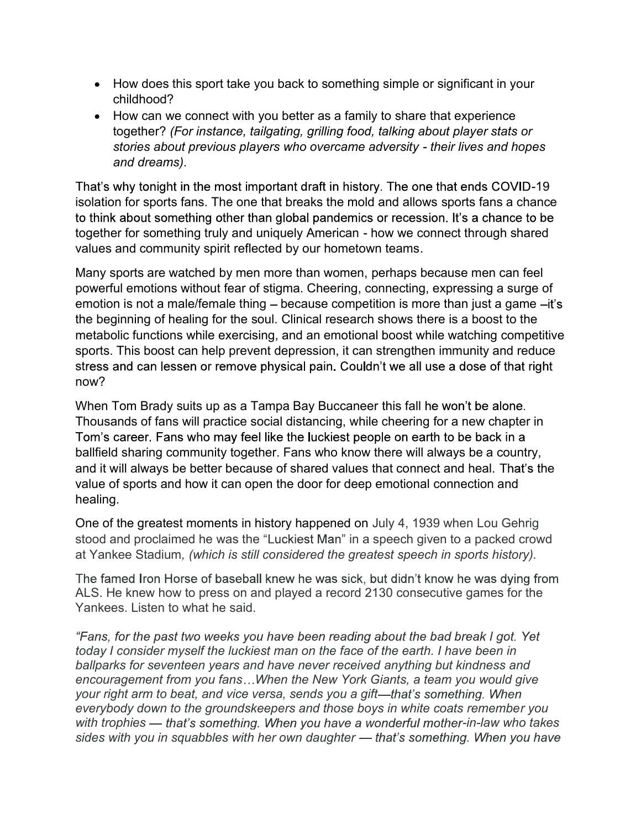- How does this sport take you back to something simple or significant in your childhood?
- How can we connect with you better as a family to share that experience together? (For instance, tailgating, grilling food, talking about player stats or stories about previous players who overcame adversity - their lives and hopes and dreams).

That's why tonight in the most important draft in history. The one that ends COVID-19 isolation for sports fans. The one that breaks the mold and allows sports fans a chance to think about something other than global pandemics or recession. It's a chance to be together for something truly and uniquely American - how we connect through shared values and community spirit reflected by our hometown teams.

Many sports are watched by men more than women, perhaps because men can feel powerful emotions without fear of stigma. Cheering, connecting, expressing a surge of emotion is not a male/female thing  $-$  because competition is more than just a game  $-it$ 's the beginning of healing for the soul. Clinical research shows there is a boost to the metabolic functions while exercising, and an emotional boost while watching competitive sports. This boost can help prevent depression, it can strengthen immunity and reduce stress and can lessen or remove physical pain. Couldn't we all use a dose of that right now?

When Tom Brady suits up as a Tampa Bay Buccaneer this fall he won't be alone. Thousands of fans will practice social distancing, while cheering for a new chapter in Tom's career. Fans who may feel like the luckiest people on earth to be back in a ballfield sharing community together. Fans who know there will always be a country, and it will always be better because of shared values that connect and heal. That's the value of sports and how it can open the door for deep emotional connection and healing.

One of the greatest moments in history happened on July 4, 1939 when Lou Gehrig stood and proclaimed he was the "Luckiest Man" in a speech given to a packed crowd at Yankee Stadium, (which is still considered the greatest speech in sports history).

The famed Iron Horse of baseball knew he was sick, but didn't know he was dying from ALS. He knew how to press on and played a record 2130 consecutive games for the Yankees. Listen to what he said.

"Fans, for the past two weeks you have been reading about the bad break I got. Yet today I consider myself the luckiest man on the face of the earth. I have been in ballparks for seventeen years and have never received anything but kindness and encouragement from you fans...When the New York Giants, a team you would give your right arm to beat, and vice versa, sends you a gift—that's something. When everybody down to the groundskeepers and those boys in white coats remember you with trophies — that's something. When you have a wonderful mother-in-law who takes sides with you in squabbles with her own daughter — that's something. When you have